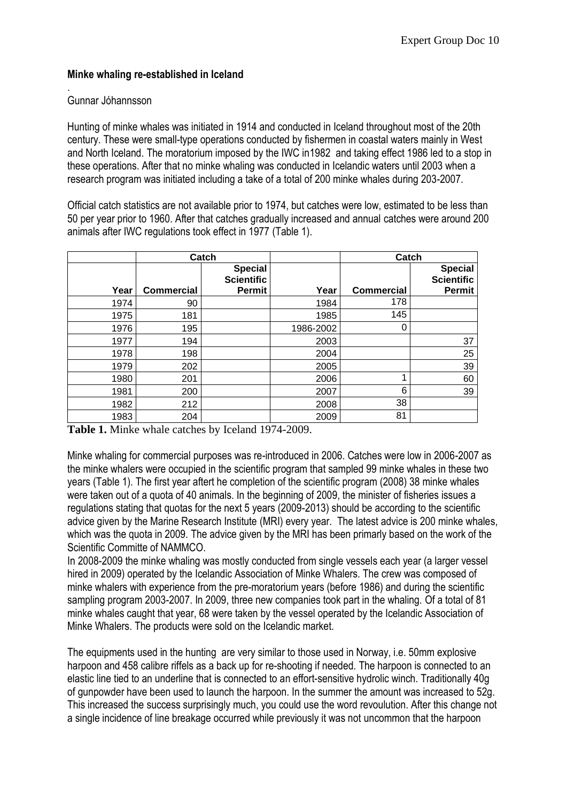## **Minke whaling re-established in Iceland**

## . Gunnar Jóhannsson

Hunting of minke whales was initiated in 1914 and conducted in Iceland throughout most of the 20th century. These were small-type operations conducted by fishermen in coastal waters mainly in West and North Iceland. The moratorium imposed by the IWC in1982 and taking effect 1986 led to a stop in these operations. After that no minke whaling was conducted in Icelandic waters until 2003 when a research program was initiated including a take of a total of 200 minke whales during 203-2007.

Official catch statistics are not available prior to 1974, but catches were low, estimated to be less than 50 per year prior to 1960. After that catches gradually increased and annual catches were around 200 animals after IWC regulations took effect in 1977 (Table 1).

|      | Catch             |                                     |           | Catch             |                                     |
|------|-------------------|-------------------------------------|-----------|-------------------|-------------------------------------|
|      |                   | <b>Special</b><br><b>Scientific</b> |           |                   | <b>Special</b><br><b>Scientific</b> |
| Year | <b>Commercial</b> | Permit                              | Year      | <b>Commercial</b> | Permit                              |
| 1974 | 90                |                                     | 1984      | 178               |                                     |
| 1975 | 181               |                                     | 1985      | 145               |                                     |
| 1976 | 195               |                                     | 1986-2002 | 0                 |                                     |
| 1977 | 194               |                                     | 2003      |                   | 37                                  |
| 1978 | 198               |                                     | 2004      |                   | 25                                  |
| 1979 | 202               |                                     | 2005      |                   | 39                                  |
| 1980 | 201               |                                     | 2006      |                   | 60                                  |
| 1981 | 200               |                                     | 2007      | 6                 | 39                                  |
| 1982 | 212               |                                     | 2008      | 38                |                                     |
| 1983 | 204               |                                     | 2009      | 81                |                                     |

**Table 1.** Minke whale catches by Iceland 1974-2009.

Minke whaling for commercial purposes was re-introduced in 2006. Catches were low in 2006-2007 as the minke whalers were occupied in the scientific program that sampled 99 minke whales in these two years (Table 1). The first year aftert he completion of the scientific program (2008) 38 minke whales were taken out of a quota of 40 animals. In the beginning of 2009, the minister of fisheries issues a regulations stating that quotas for the next 5 years (2009-2013) should be according to the scientific advice given by the Marine Research Institute (MRI) every year. The latest advice is 200 minke whales, which was the quota in 2009. The advice given by the MRI has been primarly based on the work of the Scientific Committe of NAMMCO.

In 2008-2009 the minke whaling was mostly conducted from single vessels each year (a larger vessel hired in 2009) operated by the Icelandic Association of Minke Whalers. The crew was composed of minke whalers with experience from the pre-moratorium years (before 1986) and during the scientific sampling program 2003-2007. In 2009, three new companies took part in the whaling. Of a total of 81 minke whales caught that year, 68 were taken by the vessel operated by the Icelandic Association of Minke Whalers. The products were sold on the Icelandic market.

The equipments used in the hunting are very similar to those used in Norway, i.e. 50mm explosive harpoon and 458 calibre riffels as a back up for re-shooting if needed. The harpoon is connected to an elastic line tied to an underline that is connected to an effort-sensitive hydrolic winch. Traditionally 40g of gunpowder have been used to launch the harpoon. In the summer the amount was increased to 52g. This increased the success surprisingly much, you could use the word revoulution. After this change not a single incidence of line breakage occurred while previously it was not uncommon that the harpoon